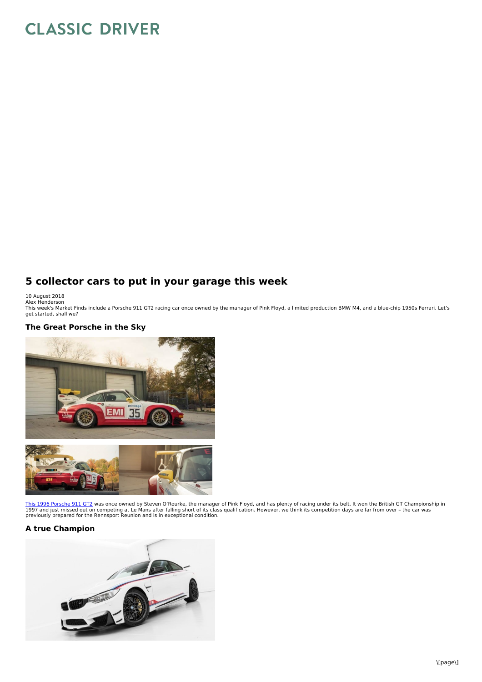# **CLASSIC DRIVER**

# **5 collector cars to put in your garage this week**

10 August 2018<br>Alex Henderson<br>This week's Market Finds include a Porsche 911 GT2 racing car once owned by the manager of Pink Floyd, a limited production BMW M4, and a blue-chip 1950s Ferrari. Let's get started, shall we?

## **The Great Porsche in the Sky**



<u>This 1996 [Porsche](https://www.classicdriver.com/en/car/porsche/911-gt2/1996/501699) 911 GT2</u> was once owned by Steven O'Rourke, the manager of Pink Floyd, and has plenty of racing under its belt. It won the British GT Championship in<br>1997 and just missed out on competing at Le Mans afte

# **A true Champion**

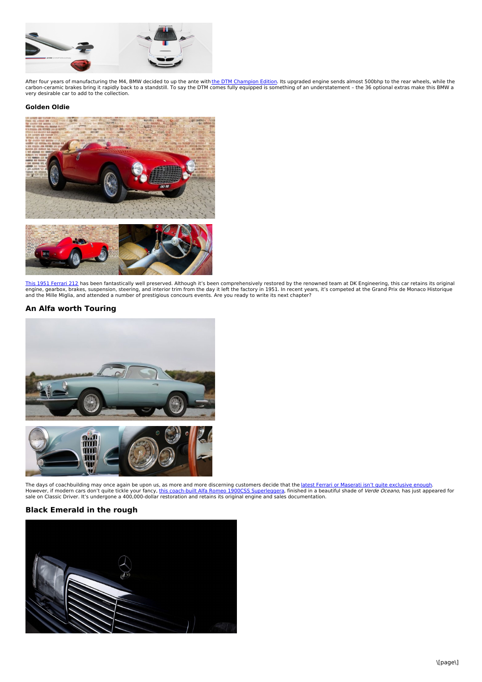

After four years of manufacturing the M4, BMW decided to up the ante with <u>the DTM [Champion](https://www.classicdriver.com/en/car/bmw/m4/2017/550686) Edition</u>. Its upgraded engine sends almost 500bhp to the rear wheels, while the<br>carbon-ceramic brakes bring it rapidly back to a s

#### **Golden Oldie**





<u>This 1951 [Ferrari](https://www.classicdriver.com/en/car/ferrari/212/1951/550510) 212</u> has been fantastically well preserved. Although it's been comprehensively restored by the renowned team at DK Engineering, this car retains its original<br>engine, gearbox, brakes, suspension, steering and the Mille Miglia, and attended a number of prestigious concours events. Are you ready to write its next chapter?

#### **An Alfa worth Touring**



The days of coachbuilding may once again be upon us, as more and more discerning customers decide that the <u>latest Ferrari or Maserati isn't quite [exclusive](https://www.classicdriver.com/en/article/cars/a-rosso-rendezvous-ferrari-sp38-deborah-and-f40-lugano) enough</u>.<br>However, if modern cars don't quite tickle your fancy, <u></u>

### **Black Emerald in the rough**